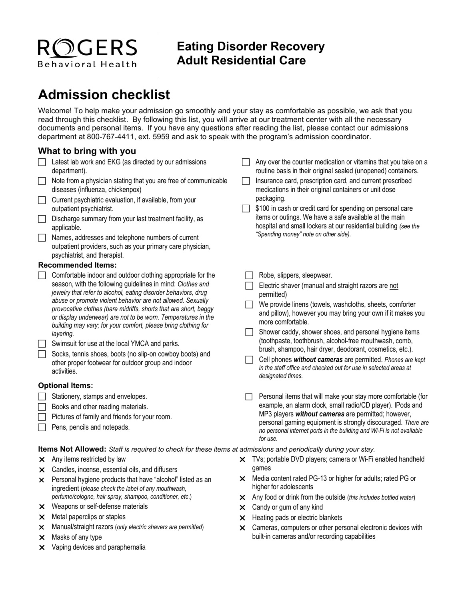## **Eating Disorder Recovery Adult Residential Care**

## **Admission checklist**

ROGERS

Behavioral Health

Welcome! To help make your admission go smoothly and your stay as comfortable as possible, we ask that you read through this checklist. By following this list, you will arrive at our treatment center with all the necessary documents and personal items. If you have any questions after reading the list, please contact our admissions department at 800-767-4411, ext. 5959 and ask to speak with the program's admission coordinator.

## **What to bring with you**

|                                                                                                                | Latest lab work and EKG (as directed by our admissions<br>department).                                                                                                                                                                                                                                                                                                                                                                                                                                                                                                                                                                                           |                | Any over the counter medication or vitamins that you take on a<br>routine basis in their original sealed (unopened) containers.                                                                                                                                                                                                                                                                                                                                                                                                                                                        |
|----------------------------------------------------------------------------------------------------------------|------------------------------------------------------------------------------------------------------------------------------------------------------------------------------------------------------------------------------------------------------------------------------------------------------------------------------------------------------------------------------------------------------------------------------------------------------------------------------------------------------------------------------------------------------------------------------------------------------------------------------------------------------------------|----------------|----------------------------------------------------------------------------------------------------------------------------------------------------------------------------------------------------------------------------------------------------------------------------------------------------------------------------------------------------------------------------------------------------------------------------------------------------------------------------------------------------------------------------------------------------------------------------------------|
|                                                                                                                | Note from a physician stating that you are free of communicable<br>diseases (influenza, chickenpox)                                                                                                                                                                                                                                                                                                                                                                                                                                                                                                                                                              |                | Insurance card, prescription card, and current prescribed<br>medications in their original containers or unit dose<br>packaging.<br>\$100 in cash or credit card for spending on personal care<br>items or outings. We have a safe available at the main<br>hospital and small lockers at our residential building (see the                                                                                                                                                                                                                                                            |
|                                                                                                                | Current psychiatric evaluation, if available, from your<br>outpatient psychiatrist.                                                                                                                                                                                                                                                                                                                                                                                                                                                                                                                                                                              | $\blacksquare$ |                                                                                                                                                                                                                                                                                                                                                                                                                                                                                                                                                                                        |
|                                                                                                                | Discharge summary from your last treatment facility, as<br>applicable.                                                                                                                                                                                                                                                                                                                                                                                                                                                                                                                                                                                           |                |                                                                                                                                                                                                                                                                                                                                                                                                                                                                                                                                                                                        |
|                                                                                                                | Names, addresses and telephone numbers of current<br>outpatient providers, such as your primary care physician,<br>psychiatrist, and therapist.                                                                                                                                                                                                                                                                                                                                                                                                                                                                                                                  |                | "Spending money" note on other side).                                                                                                                                                                                                                                                                                                                                                                                                                                                                                                                                                  |
| <b>Recommended Items:</b>                                                                                      |                                                                                                                                                                                                                                                                                                                                                                                                                                                                                                                                                                                                                                                                  |                |                                                                                                                                                                                                                                                                                                                                                                                                                                                                                                                                                                                        |
|                                                                                                                | Comfortable indoor and outdoor clothing appropriate for the<br>season, with the following guidelines in mind: Clothes and<br>jewelry that refer to alcohol, eating disorder behaviors, drug<br>abuse or promote violent behavior are not allowed. Sexually<br>provocative clothes (bare midriffs, shorts that are short, baggy<br>or display underwear) are not to be worn. Temperatures in the<br>building may vary; for your comfort, please bring clothing for<br>layering.<br>Swimsuit for use at the local YMCA and parks.<br>Socks, tennis shoes, boots (no slip-on cowboy boots) and<br>other proper footwear for outdoor group and indoor<br>activities. |                | Robe, slippers, sleepwear.<br>Electric shaver (manual and straight razors are not<br>permitted)<br>We provide linens (towels, washcloths, sheets, comforter<br>and pillow), however you may bring your own if it makes you<br>more comfortable.<br>Shower caddy, shower shoes, and personal hygiene items<br>(toothpaste, toothbrush, alcohol-free mouthwash, comb,<br>brush, shampoo, hair dryer, deodorant, cosmetics, etc.).<br>Cell phones without cameras are permitted. Phones are kept<br>in the staff office and checked out for use in selected areas at<br>designated times. |
| <b>Optional Items:</b>                                                                                         |                                                                                                                                                                                                                                                                                                                                                                                                                                                                                                                                                                                                                                                                  |                |                                                                                                                                                                                                                                                                                                                                                                                                                                                                                                                                                                                        |
|                                                                                                                | Stationery, stamps and envelopes.<br>Books and other reading materials.<br>Pictures of family and friends for your room.<br>Pens, pencils and notepads.                                                                                                                                                                                                                                                                                                                                                                                                                                                                                                          |                | Personal items that will make your stay more comfortable (for<br>example, an alarm clock, small radio/CD player). IPods and<br>MP3 players without cameras are permitted; however,<br>personal gaming equipment is strongly discouraged. There are<br>no personal internet ports in the building and Wi-Fi is not available<br>for use.                                                                                                                                                                                                                                                |
| Items Not Allowed: Staff is required to check for these items at admissions and periodically during your stay. |                                                                                                                                                                                                                                                                                                                                                                                                                                                                                                                                                                                                                                                                  |                |                                                                                                                                                                                                                                                                                                                                                                                                                                                                                                                                                                                        |
| X.                                                                                                             | Any items restricted by law                                                                                                                                                                                                                                                                                                                                                                                                                                                                                                                                                                                                                                      |                | X TVs; portable DVD players; camera or Wi-Fi enabled handheld                                                                                                                                                                                                                                                                                                                                                                                                                                                                                                                          |
| x.                                                                                                             | Candles, incense, essential oils, and diffusers                                                                                                                                                                                                                                                                                                                                                                                                                                                                                                                                                                                                                  |                | games                                                                                                                                                                                                                                                                                                                                                                                                                                                                                                                                                                                  |
| x.                                                                                                             | Personal hygiene products that have "alcohol" listed as an<br>ingredient (please check the label of any mouthwash,                                                                                                                                                                                                                                                                                                                                                                                                                                                                                                                                               |                | X Media content rated PG-13 or higher for adults; rated PG or<br>higher for adolescents                                                                                                                                                                                                                                                                                                                                                                                                                                                                                                |

- Any food or drink from the outside (*this includes bottled water*)
- **x** Candy or gum of any kind
- $\times$  Heating pads or electric blankets
- Cameras, computers or other personal electronic devices with built-in cameras and/or recording capabilities

 $\times$  Masks of any type **X** Vaping devices and paraphernalia

 $\times$  Metal paperclips or staples

Weapons or self-defense materials

*perfume/cologne, hair spray, shampoo, conditioner, etc*.)

Manual/straight razors (*only electric shavers are permitted*)